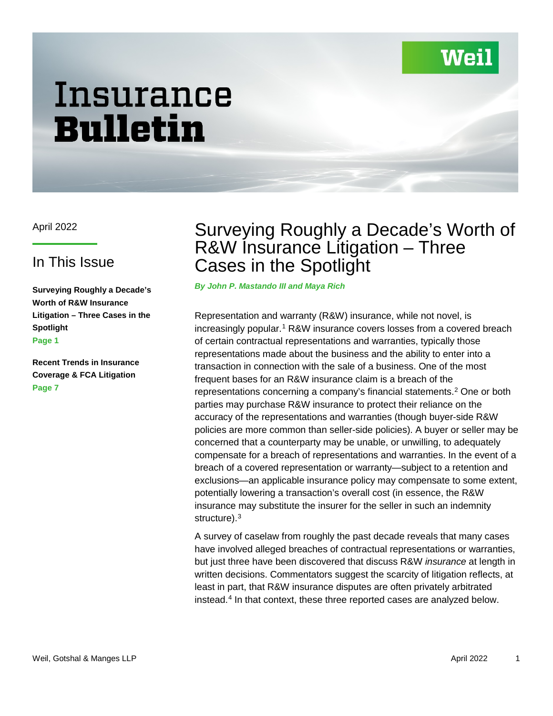# Wei

# Insurance Bulletin

### In This Issue

**Surveying Roughly a Decade's Worth of R&W Insurance Litigation – Three Cases in the Spotlight Page 1**

**Recent Trends in Insurance Coverage & FCA Litigation Page 7**

## April 2022 **Surveying Roughly a Decade's Worth of** R&W Insurance Litigation – Three Cases in the Spotlight

*By John P. Mastando III and Maya Rich*

Representation and warranty (R&W) insurance, while not novel, is increasingly popular.<sup>1</sup> R&W insurance covers losses from a covered breach of certain contractual representations and warranties, typically those representations made about the business and the ability to enter into a transaction in connection with the sale of a business. One of the most frequent bases for an R&W insurance claim is a breach of the representations concerning a company's financial statements. [2](#page-5-1) One or both parties may purchase R&W insurance to protect their reliance on the accuracy of the representations and warranties (though buyer-side R&W policies are more common than seller-side policies). A buyer or seller may be concerned that a counterparty may be unable, or unwilling, to adequately compensate for a breach of representations and warranties. In the event of a breach of a covered representation or warranty—subject to a retention and exclusions—an applicable insurance policy may compensate to some extent, potentially lowering a transaction's overall cost (in essence, the R&W insurance may substitute the insurer for the seller in such an indemnity structure).<sup>[3](#page-5-2)</sup>

A survey of caselaw from roughly the past decade reveals that many cases have involved alleged breaches of contractual representations or warranties, but just three have been discovered that discuss R&W *insurance* at length in written decisions. Commentators suggest the scarcity of litigation reflects, at least in part, that R&W insurance disputes are often privately arbitrated instead. [4](#page-5-3) In that context, these three reported cases are analyzed below.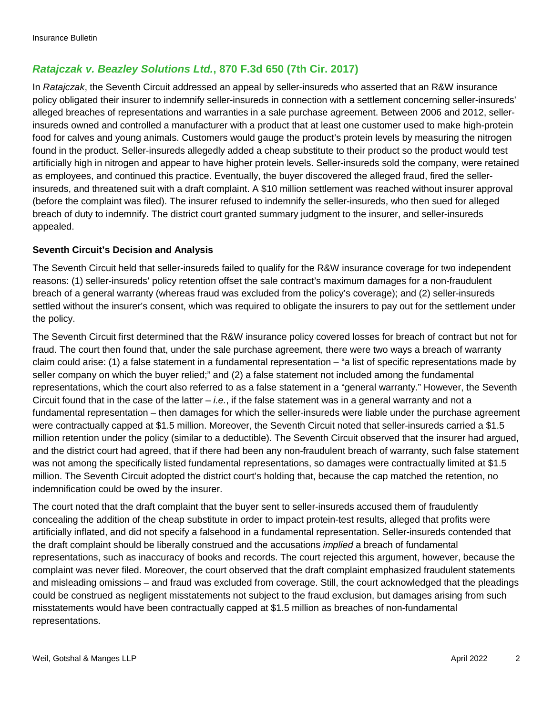#### *Ratajczak v. Beazley Solutions Ltd.***, 870 F.3d 650 (7th Cir. 2017)**

In *Ratajczak*, the Seventh Circuit addressed an appeal by seller-insureds who asserted that an R&W insurance policy obligated their insurer to indemnify seller-insureds in connection with a settlement concerning seller-insureds' alleged breaches of representations and warranties in a sale purchase agreement. Between 2006 and 2012, sellerinsureds owned and controlled a manufacturer with a product that at least one customer used to make high-protein food for calves and young animals. Customers would gauge the product's protein levels by measuring the nitrogen found in the product. Seller-insureds allegedly added a cheap substitute to their product so the product would test artificially high in nitrogen and appear to have higher protein levels. Seller-insureds sold the company, were retained as employees, and continued this practice. Eventually, the buyer discovered the alleged fraud, fired the sellerinsureds, and threatened suit with a draft complaint. A \$10 million settlement was reached without insurer approval (before the complaint was filed). The insurer refused to indemnify the seller-insureds, who then sued for alleged breach of duty to indemnify. The district court granted summary judgment to the insurer, and seller-insureds appealed.

#### **Seventh Circuit's Decision and Analysis**

The Seventh Circuit held that seller-insureds failed to qualify for the R&W insurance coverage for two independent reasons: (1) seller-insureds' policy retention offset the sale contract's maximum damages for a non-fraudulent breach of a general warranty (whereas fraud was excluded from the policy's coverage); and (2) seller-insureds settled without the insurer's consent, which was required to obligate the insurers to pay out for the settlement under the policy.

The Seventh Circuit first determined that the R&W insurance policy covered losses for breach of contract but not for fraud. The court then found that, under the sale purchase agreement, there were two ways a breach of warranty claim could arise: (1) a false statement in a fundamental representation – "a list of specific representations made by seller company on which the buyer relied;" and (2) a false statement not included among the fundamental representations, which the court also referred to as a false statement in a "general warranty." However, the Seventh Circuit found that in the case of the latter – *i.e.*, if the false statement was in a general warranty and not a fundamental representation – then damages for which the seller-insureds were liable under the purchase agreement were contractually capped at \$1.5 million. Moreover, the Seventh Circuit noted that seller-insureds carried a \$1.5 million retention under the policy (similar to a deductible). The Seventh Circuit observed that the insurer had argued, and the district court had agreed, that if there had been any non-fraudulent breach of warranty, such false statement was not among the specifically listed fundamental representations, so damages were contractually limited at \$1.5 million. The Seventh Circuit adopted the district court's holding that, because the cap matched the retention, no indemnification could be owed by the insurer.

The court noted that the draft complaint that the buyer sent to seller-insureds accused them of fraudulently concealing the addition of the cheap substitute in order to impact protein-test results, alleged that profits were artificially inflated, and did not specify a falsehood in a fundamental representation. Seller-insureds contended that the draft complaint should be liberally construed and the accusations *implied* a breach of fundamental representations, such as inaccuracy of books and records. The court rejected this argument, however, because the complaint was never filed. Moreover, the court observed that the draft complaint emphasized fraudulent statements and misleading omissions – and fraud was excluded from coverage. Still, the court acknowledged that the pleadings could be construed as negligent misstatements not subject to the fraud exclusion, but damages arising from such misstatements would have been contractually capped at \$1.5 million as breaches of non-fundamental representations.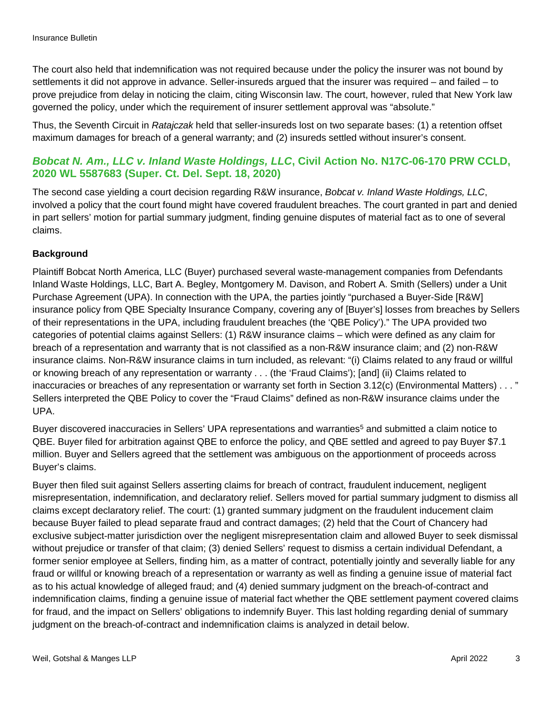The court also held that indemnification was not required because under the policy the insurer was not bound by settlements it did not approve in advance. Seller-insureds argued that the insurer was required – and failed – to prove prejudice from delay in noticing the claim, citing Wisconsin law. The court, however, ruled that New York law governed the policy, under which the requirement of insurer settlement approval was "absolute."

Thus, the Seventh Circuit in *Ratajczak* held that seller-insureds lost on two separate bases: (1) a retention offset maximum damages for breach of a general warranty; and (2) insureds settled without insurer's consent.

#### *Bobcat N. Am., LLC v. Inland Waste Holdings, LLC***, Civil Action No. N17C-06-170 PRW CCLD, 2020 WL 5587683 (Super. Ct. Del. Sept. 18, 2020)**

The second case yielding a court decision regarding R&W insurance, *Bobcat v. Inland Waste Holdings, LLC*, involved a policy that the court found might have covered fraudulent breaches. The court granted in part and denied in part sellers' motion for partial summary judgment, finding genuine disputes of material fact as to one of several claims.

#### **Background**

Plaintiff Bobcat North America, LLC (Buyer) purchased several waste-management companies from Defendants Inland Waste Holdings, LLC, Bart A. Begley, Montgomery M. Davison, and Robert A. Smith (Sellers) under a Unit Purchase Agreement (UPA). In connection with the UPA, the parties jointly "purchased a Buyer-Side [R&W] insurance policy from QBE Specialty Insurance Company, covering any of [Buyer's] losses from breaches by Sellers of their representations in the UPA, including fraudulent breaches (the 'QBE Policy')." The UPA provided two categories of potential claims against Sellers: (1) R&W insurance claims – which were defined as any claim for breach of a representation and warranty that is not classified as a non-R&W insurance claim; and (2) non-R&W insurance claims. Non-R&W insurance claims in turn included, as relevant: "(i) Claims related to any fraud or willful or knowing breach of any representation or warranty . . . (the 'Fraud Claims'); [and] (ii) Claims related to inaccuracies or breaches of any representation or warranty set forth in Section 3.12(c) (Environmental Matters) . . . " Sellers interpreted the QBE Policy to cover the "Fraud Claims" defined as non-R&W insurance claims under the UPA.

Buyer discovered inaccuracies in Sellers' UPA representations and warranties<sup>[5](#page-5-4)</sup> and submitted a claim notice to QBE. Buyer filed for arbitration against QBE to enforce the policy, and QBE settled and agreed to pay Buyer \$7.1 million. Buyer and Sellers agreed that the settlement was ambiguous on the apportionment of proceeds across Buyer's claims.

Buyer then filed suit against Sellers asserting claims for breach of contract, fraudulent inducement, negligent misrepresentation, indemnification, and declaratory relief. Sellers moved for partial summary judgment to dismiss all claims except declaratory relief. The court: (1) granted summary judgment on the fraudulent inducement claim because Buyer failed to plead separate fraud and contract damages; (2) held that the Court of Chancery had exclusive subject-matter jurisdiction over the negligent misrepresentation claim and allowed Buyer to seek dismissal without prejudice or transfer of that claim; (3) denied Sellers' request to dismiss a certain individual Defendant, a former senior employee at Sellers, finding him, as a matter of contract, potentially jointly and severally liable for any fraud or willful or knowing breach of a representation or warranty as well as finding a genuine issue of material fact as to his actual knowledge of alleged fraud; and (4) denied summary judgment on the breach-of-contract and indemnification claims, finding a genuine issue of material fact whether the QBE settlement payment covered claims for fraud, and the impact on Sellers' obligations to indemnify Buyer. This last holding regarding denial of summary judgment on the breach-of-contract and indemnification claims is analyzed in detail below.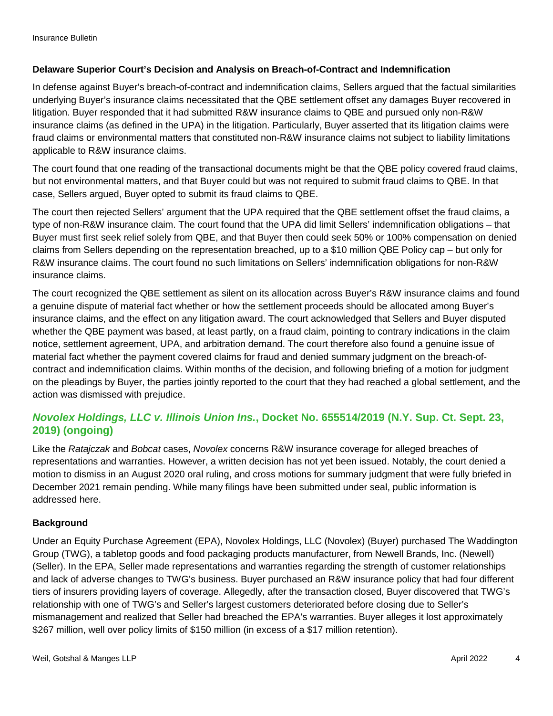#### **Delaware Superior Court's Decision and Analysis on Breach-of-Contract and Indemnification**

In defense against Buyer's breach-of-contract and indemnification claims, Sellers argued that the factual similarities underlying Buyer's insurance claims necessitated that the QBE settlement offset any damages Buyer recovered in litigation. Buyer responded that it had submitted R&W insurance claims to QBE and pursued only non-R&W insurance claims (as defined in the UPA) in the litigation. Particularly, Buyer asserted that its litigation claims were fraud claims or environmental matters that constituted non-R&W insurance claims not subject to liability limitations applicable to R&W insurance claims.

The court found that one reading of the transactional documents might be that the QBE policy covered fraud claims, but not environmental matters, and that Buyer could but was not required to submit fraud claims to QBE. In that case, Sellers argued, Buyer opted to submit its fraud claims to QBE.

The court then rejected Sellers' argument that the UPA required that the QBE settlement offset the fraud claims, a type of non-R&W insurance claim. The court found that the UPA did limit Sellers' indemnification obligations – that Buyer must first seek relief solely from QBE, and that Buyer then could seek 50% or 100% compensation on denied claims from Sellers depending on the representation breached, up to a \$10 million QBE Policy cap – but only for R&W insurance claims. The court found no such limitations on Sellers' indemnification obligations for non-R&W insurance claims.

The court recognized the QBE settlement as silent on its allocation across Buyer's R&W insurance claims and found a genuine dispute of material fact whether or how the settlement proceeds should be allocated among Buyer's insurance claims, and the effect on any litigation award. The court acknowledged that Sellers and Buyer disputed whether the QBE payment was based, at least partly, on a fraud claim, pointing to contrary indications in the claim notice, settlement agreement, UPA, and arbitration demand. The court therefore also found a genuine issue of material fact whether the payment covered claims for fraud and denied summary judgment on the breach-ofcontract and indemnification claims. Within months of the decision, and following briefing of a motion for judgment on the pleadings by Buyer, the parties jointly reported to the court that they had reached a global settlement, and the action was dismissed with prejudice.

#### *Novolex Holdings, LLC v. Illinois Union Ins.***, Docket No. 655514/2019 (N.Y. Sup. Ct. Sept. 23, 2019) (ongoing)**

Like the *Ratajczak* and *Bobcat* cases, *Novolex* concerns R&W insurance coverage for alleged breaches of representations and warranties. However, a written decision has not yet been issued. Notably, the court denied a motion to dismiss in an August 2020 oral ruling, and cross motions for summary judgment that were fully briefed in December 2021 remain pending. While many filings have been submitted under seal, public information is addressed here.

#### **Background**

Under an Equity Purchase Agreement (EPA), Novolex Holdings, LLC (Novolex) (Buyer) purchased The Waddington Group (TWG), a tabletop goods and food packaging products manufacturer, from Newell Brands, Inc. (Newell) (Seller). In the EPA, Seller made representations and warranties regarding the strength of customer relationships and lack of adverse changes to TWG's business. Buyer purchased an R&W insurance policy that had four different tiers of insurers providing layers of coverage. Allegedly, after the transaction closed, Buyer discovered that TWG's relationship with one of TWG's and Seller's largest customers deteriorated before closing due to Seller's mismanagement and realized that Seller had breached the EPA's warranties. Buyer alleges it lost approximately \$267 million, well over policy limits of \$150 million (in excess of a \$17 million retention).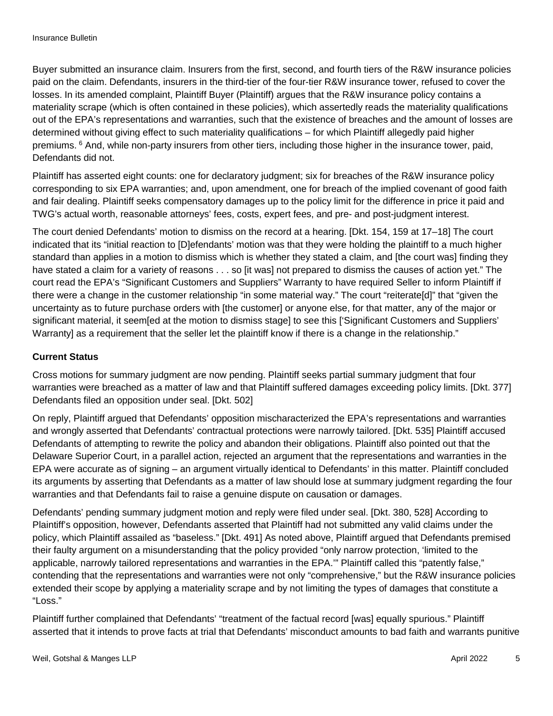Buyer submitted an insurance claim. Insurers from the first, second, and fourth tiers of the R&W insurance policies paid on the claim. Defendants, insurers in the third-tier of the four-tier R&W insurance tower, refused to cover the losses. In its amended complaint, Plaintiff Buyer (Plaintiff) argues that the R&W insurance policy contains a materiality scrape (which is often contained in these policies), which assertedly reads the materiality qualifications out of the EPA's representations and warranties, such that the existence of breaches and the amount of losses are determined without giving effect to such materiality qualifications – for which Plaintiff allegedly paid higher premiums. [6](#page-5-5) And, while non-party insurers from other tiers, including those higher in the insurance tower, paid, Defendants did not.

Plaintiff has asserted eight counts: one for declaratory judgment; six for breaches of the R&W insurance policy corresponding to six EPA warranties; and, upon amendment, one for breach of the implied covenant of good faith and fair dealing. Plaintiff seeks compensatory damages up to the policy limit for the difference in price it paid and TWG's actual worth, reasonable attorneys' fees, costs, expert fees, and pre- and post-judgment interest.

The court denied Defendants' motion to dismiss on the record at a hearing. [Dkt. 154, 159 at 17–18] The court indicated that its "initial reaction to [D]efendants' motion was that they were holding the plaintiff to a much higher standard than applies in a motion to dismiss which is whether they stated a claim, and [the court was] finding they have stated a claim for a variety of reasons . . . so [it was] not prepared to dismiss the causes of action yet." The court read the EPA's "Significant Customers and Suppliers" Warranty to have required Seller to inform Plaintiff if there were a change in the customer relationship "in some material way." The court "reiterate[d]" that "given the uncertainty as to future purchase orders with [the customer] or anyone else, for that matter, any of the major or significant material, it seem[ed at the motion to dismiss stage] to see this ['Significant Customers and Suppliers' Warranty] as a requirement that the seller let the plaintiff know if there is a change in the relationship."

#### **Current Status**

Cross motions for summary judgment are now pending. Plaintiff seeks partial summary judgment that four warranties were breached as a matter of law and that Plaintiff suffered damages exceeding policy limits. [Dkt. 377] Defendants filed an opposition under seal. [Dkt. 502]

On reply, Plaintiff argued that Defendants' opposition mischaracterized the EPA's representations and warranties and wrongly asserted that Defendants' contractual protections were narrowly tailored. [Dkt. 535] Plaintiff accused Defendants of attempting to rewrite the policy and abandon their obligations. Plaintiff also pointed out that the Delaware Superior Court, in a parallel action, rejected an argument that the representations and warranties in the EPA were accurate as of signing – an argument virtually identical to Defendants' in this matter. Plaintiff concluded its arguments by asserting that Defendants as a matter of law should lose at summary judgment regarding the four warranties and that Defendants fail to raise a genuine dispute on causation or damages.

Defendants' pending summary judgment motion and reply were filed under seal. [Dkt. 380, 528] According to Plaintiff's opposition, however, Defendants asserted that Plaintiff had not submitted any valid claims under the policy, which Plaintiff assailed as "baseless." [Dkt. 491] As noted above, Plaintiff argued that Defendants premised their faulty argument on a misunderstanding that the policy provided "only narrow protection, 'limited to the applicable, narrowly tailored representations and warranties in the EPA.'" Plaintiff called this "patently false," contending that the representations and warranties were not only "comprehensive," but the R&W insurance policies extended their scope by applying a materiality scrape and by not limiting the types of damages that constitute a "Loss."

Plaintiff further complained that Defendants' "treatment of the factual record [was] equally spurious." Plaintiff asserted that it intends to prove facts at trial that Defendants' misconduct amounts to bad faith and warrants punitive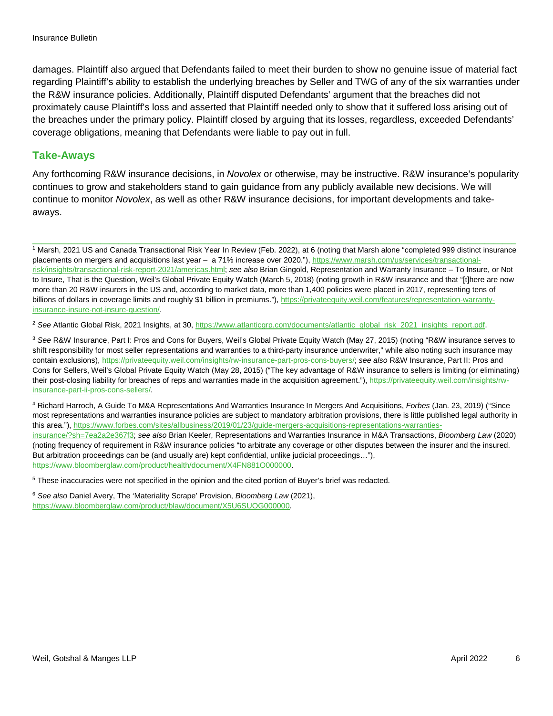damages. Plaintiff also argued that Defendants failed to meet their burden to show no genuine issue of material fact regarding Plaintiff's ability to establish the underlying breaches by Seller and TWG of any of the six warranties under the R&W insurance policies. Additionally, Plaintiff disputed Defendants' argument that the breaches did not proximately cause Plaintiff's loss and asserted that Plaintiff needed only to show that it suffered loss arising out of the breaches under the primary policy. Plaintiff closed by arguing that its losses, regardless, exceeded Defendants' coverage obligations, meaning that Defendants were liable to pay out in full.

#### **Take-Aways**

Any forthcoming R&W insurance decisions, in *Novolex* or otherwise, may be instructive. R&W insurance's popularity continues to grow and stakeholders stand to gain guidance from any publicly available new decisions. We will continue to monitor *Novolex*, as well as other R&W insurance decisions, for important developments and takeaways.

<span id="page-5-0"></span><sup>1</sup> Marsh, 2021 US and Canada Transactional Risk Year In Review (Feb. 2022), at 6 (noting that Marsh alone "completed 999 distinct insurance placements on mergers and acquisitions last year – a 71% increase over 2020."), [https://www.marsh.com/us/services/transactional](https://www.marsh.com/us/services/transactional-risk/insights/transactional-risk-report-2021/americas.html)[risk/insights/transactional-risk-report-2021/americas.html;](https://www.marsh.com/us/services/transactional-risk/insights/transactional-risk-report-2021/americas.html) *see also* Brian Gingold, Representation and Warranty Insurance – To Insure, or Not to Insure, That is the Question, Weil's Global Private Equity Watch (March 5, 2018) (noting growth in R&W insurance and that "[t]here are now more than 20 R&W insurers in the US and, according to market data, more than 1,400 policies were placed in 2017, representing tens of billions of dollars in coverage limits and roughly \$1 billion in premiums."), [https://privateequity.weil.com/features/representation-warranty](https://privateequity.weil.com/features/representation-warranty-insurance-insure-not-insure-question/)[insurance-insure-not-insure-question/.](https://privateequity.weil.com/features/representation-warranty-insurance-insure-not-insure-question/)

\_\_\_\_\_\_\_\_\_\_\_\_\_\_\_\_\_\_\_\_\_\_\_\_\_\_\_\_\_\_\_\_\_\_\_\_\_\_\_\_\_\_\_\_\_\_\_\_\_\_\_\_\_\_\_\_\_\_\_\_\_\_\_\_\_\_\_\_\_\_\_\_\_\_\_\_\_\_\_\_\_\_\_\_\_\_\_\_\_\_\_\_\_\_\_\_\_\_\_\_\_\_\_\_\_\_\_

<span id="page-5-1"></span><sup>2</sup> See Atlantic Global Risk, 2021 Insights, at 30, [https://www.atlanticgrp.com/documents/atlantic\\_global\\_risk\\_2021\\_insights\\_report.pdf.](https://www.atlanticgrp.com/documents/atlantic_global_risk_2021_insights_report.pdf)

<span id="page-5-2"></span><sup>3</sup> *See* R&W Insurance, Part I: Pros and Cons for Buyers, Weil's Global Private Equity Watch (May 27, 2015) (noting "R&W insurance serves to shift responsibility for most seller representations and warranties to a third-party insurance underwriter," while also noting such insurance may contain exclusions), [https://privateequity.weil.com/insights/rw-insurance-part-pros-cons-buyers/;](https://privateequity.weil.com/insights/rw-insurance-part-pros-cons-buyers/) *see also* R&W Insurance, Part II: Pros and Cons for Sellers, Weil's Global Private Equity Watch (May 28, 2015) ("The key advantage of R&W insurance to sellers is limiting (or eliminating) their post-closing liability for breaches of reps and warranties made in the acquisition agreement."), [https://privateequity.weil.com/insights/rw](https://privateequity.weil.com/insights/rw-insurance-part-ii-pros-cons-sellers/)[insurance-part-ii-pros-cons-sellers/.](https://privateequity.weil.com/insights/rw-insurance-part-ii-pros-cons-sellers/)

<span id="page-5-3"></span><sup>4</sup> Richard Harroch, A Guide To M&A Representations And Warranties Insurance In Mergers And Acquisitions, *Forbes* (Jan. 23, 2019) ("Since most representations and warranties insurance policies are subject to mandatory arbitration provisions, there is little published legal authority in this area."), [https://www.forbes.com/sites/allbusiness/2019/01/23/guide-mergers-acquisitions-representations-warranties](https://www.forbes.com/sites/allbusiness/2019/01/23/guide-mergers-acquisitions-representations-warranties-insurance/?sh=7ea2a2e367f3)[insurance/?sh=7ea2a2e367f3;](https://www.forbes.com/sites/allbusiness/2019/01/23/guide-mergers-acquisitions-representations-warranties-insurance/?sh=7ea2a2e367f3) *see also* Brian Keeler, Representations and Warranties Insurance in M&A Transactions, *Bloomberg Law* (2020) (noting frequency of requirement in R&W insurance policies "to arbitrate any coverage or other disputes between the insurer and the insured. But arbitration proceedings can be (and usually are) kept confidential, unlike judicial proceedings…"), [https://www.bloomberglaw.com/product/health/document/X4FN881O000000.](https://www.bloomberglaw.com/product/health/document/X4FN881O000000)

<span id="page-5-4"></span><sup>5</sup> These inaccuracies were not specified in the opinion and the cited portion of Buyer's brief was redacted.

<span id="page-5-5"></span><sup>6</sup> *See also* Daniel Avery, The 'Materiality Scrape' Provision, *Bloomberg Law* (2021), [https://www.bloomberglaw.com/product/blaw/document/X5U6SUOG000000.](https://www.bloomberglaw.com/product/blaw/document/X5U6SUOG000000)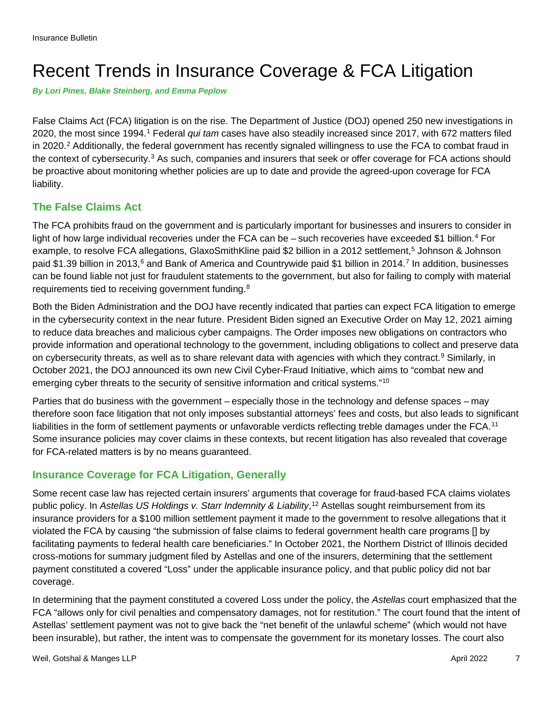## Recent Trends in Insurance Coverage & FCA Litigation

*By Lori Pines, Blake Steinberg, and Emma Peplow*

False Claims Act (FCA) litigation is on the rise. The Department of Justice (DOJ) opened 250 new investigations in 2020, the most since 1994.[1](#page-9-0) Federal *qui tam* cases have also steadily increased since 2017, with 672 matters filed in [2](#page-9-1)020.<sup>2</sup> Additionally, the federal government has recently signaled willingness to use the FCA to combat fraud in the context of cybersecurity.[3](#page-9-2) As such, companies and insurers that seek or offer coverage for FCA actions should be proactive about monitoring whether policies are up to date and provide the agreed-upon coverage for FCA liability.

#### **The False Claims Act**

The FCA prohibits fraud on the government and is particularly important for businesses and insurers to consider in light of how large individual recoveries under the FCA can be – such recoveries have exceeded \$1 billion.<sup>[4](#page-9-3)</sup> For example, to resolve FCA allegations, GlaxoSmithKline paid \$2 billion in a 2012 settlement,<sup>[5](#page-9-4)</sup> Johnson & Johnson paid \$1.39 billion in 2013,<sup>[6](#page-9-5)</sup> and Bank of America and Countrywide paid \$1 billion in 2014.<sup>[7](#page-9-6)</sup> In addition, businesses can be found liable not just for fraudulent statements to the government, but also for failing to comply with material requirements tied to receiving government funding.<sup>[8](#page-10-0)</sup>

Both the Biden Administration and the DOJ have recently indicated that parties can expect FCA litigation to emerge in the cybersecurity context in the near future. President Biden signed an Executive Order on May 12, 2021 aiming to reduce data breaches and malicious cyber campaigns. The Order imposes new obligations on contractors who provide information and operational technology to the government, including obligations to collect and preserve data on cybersecurity threats, as well as to share relevant data with agencies with which they contract.<sup>[9](#page-10-1)</sup> Similarly, in October 2021, the DOJ announced its own new Civil Cyber-Fraud Initiative, which aims to "combat new and emerging cyber threats to the security of sensitive information and critical systems.["10](#page-10-2)

Parties that do business with the government – especially those in the technology and defense spaces – may therefore soon face litigation that not only imposes substantial attorneys' fees and costs, but also leads to significant liabilities in the form of settlement payments or unfavorable verdicts reflecting treble damages under the FCA.<sup>[11](#page-10-3)</sup> Some insurance policies may cover claims in these contexts, but recent litigation has also revealed that coverage for FCA-related matters is by no means guaranteed.

#### **Insurance Coverage for FCA Litigation, Generally**

Some recent case law has rejected certain insurers' arguments that coverage for fraud-based FCA claims violates public policy. In *Astellas US Holdings v. Starr Indemnity & Liability*, [12](#page-10-4) Astellas sought reimbursement from its insurance providers for a \$100 million settlement payment it made to the government to resolve allegations that it violated the FCA by causing "the submission of false claims to federal government health care programs [] by facilitating payments to federal health care beneficiaries." In October 2021, the Northern District of Illinois decided cross-motions for summary judgment filed by Astellas and one of the insurers, determining that the settlement payment constituted a covered "Loss" under the applicable insurance policy, and that public policy did not bar coverage.

In determining that the payment constituted a covered Loss under the policy, the *Astellas* court emphasized that the FCA "allows only for civil penalties and compensatory damages, not for restitution." The court found that the intent of Astellas' settlement payment was not to give back the "net benefit of the unlawful scheme" (which would not have been insurable), but rather, the intent was to compensate the government for its monetary losses. The court also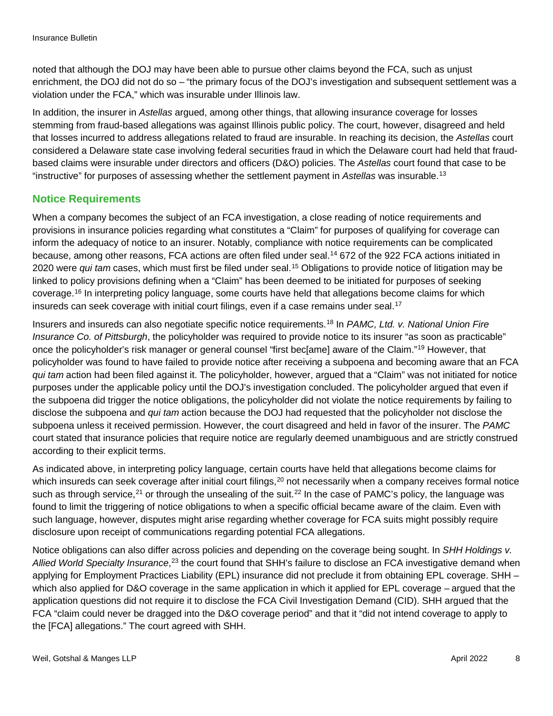noted that although the DOJ may have been able to pursue other claims beyond the FCA, such as unjust enrichment, the DOJ did not do so – "the primary focus of the DOJ's investigation and subsequent settlement was a violation under the FCA," which was insurable under Illinois law.

In addition, the insurer in *Astellas* argued, among other things, that allowing insurance coverage for losses stemming from fraud-based allegations was against Illinois public policy. The court, however, disagreed and held that losses incurred to address allegations related to fraud are insurable. In reaching its decision, the *Astellas* court considered a Delaware state case involving federal securities fraud in which the Delaware court had held that fraudbased claims were insurable under directors and officers (D&O) policies. The *Astellas* court found that case to be "instructive" for purposes of assessing whether the settlement payment in *Astellas* was insurable[.13](#page-10-5)

#### **Notice Requirements**

When a company becomes the subject of an FCA investigation, a close reading of notice requirements and provisions in insurance policies regarding what constitutes a "Claim" for purposes of qualifying for coverage can inform the adequacy of notice to an insurer. Notably, compliance with notice requirements can be complicated because, among other reasons, FCA actions are often filed under seal.<sup>[14](#page-10-6)</sup> 672 of the 922 FCA actions initiated in 2020 were *qui tam* cases, which must first be filed under seal.[15](#page-10-7) Obligations to provide notice of litigation may be linked to policy provisions defining when a "Claim" has been deemed to be initiated for purposes of seeking coverage. [16](#page-10-8) In interpreting policy language, some courts have held that allegations become claims for which insureds can seek coverage with initial court filings, even if a case remains under seal.<sup>[17](#page-10-9)</sup>

Insurers and insureds can also negotiate specific notice requirements. [18](#page-10-10) In *PAMC, Ltd. v. National Union Fire Insurance Co. of Pittsburgh*, the policyholder was required to provide notice to its insurer "as soon as practicable" once the policyholder's risk manager or general counsel "first bec[ame] aware of the Claim."[19](#page-10-11) However, that policyholder was found to have failed to provide notice after receiving a subpoena and becoming aware that an FCA *qui tam* action had been filed against it. The policyholder, however, argued that a "Claim" was not initiated for notice purposes under the applicable policy until the DOJ's investigation concluded. The policyholder argued that even if the subpoena did trigger the notice obligations, the policyholder did not violate the notice requirements by failing to disclose the subpoena and *qui tam* action because the DOJ had requested that the policyholder not disclose the subpoena unless it received permission. However, the court disagreed and held in favor of the insurer. The *PAMC* court stated that insurance policies that require notice are regularly deemed unambiguous and are strictly construed according to their explicit terms.

As indicated above, in interpreting policy language, certain courts have held that allegations become claims for which insureds can seek coverage after initial court filings,<sup>[20](#page-10-12)</sup> not necessarily when a company receives formal notice such as through service,<sup>[21](#page-10-13)</sup> or through the unsealing of the suit.<sup>[22](#page-10-14)</sup> In the case of PAMC's policy, the language was found to limit the triggering of notice obligations to when a specific official became aware of the claim. Even with such language, however, disputes might arise regarding whether coverage for FCA suits might possibly require disclosure upon receipt of communications regarding potential FCA allegations.

Notice obligations can also differ across policies and depending on the coverage being sought. In *SHH Holdings v.*  Allied World Specialty Insurance,<sup>[23](#page-10-15)</sup> the court found that SHH's failure to disclose an FCA investigative demand when applying for Employment Practices Liability (EPL) insurance did not preclude it from obtaining EPL coverage. SHH – which also applied for D&O coverage in the same application in which it applied for EPL coverage – argued that the application questions did not require it to disclose the FCA Civil Investigation Demand (CID). SHH argued that the FCA "claim could never be dragged into the D&O coverage period" and that it "did not intend coverage to apply to the [FCA] allegations." The court agreed with SHH.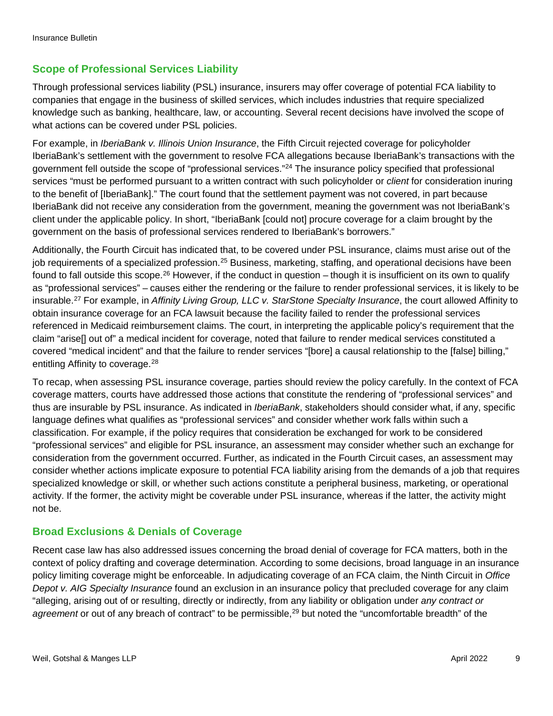#### **Scope of Professional Services Liability**

Through professional services liability (PSL) insurance, insurers may offer coverage of potential FCA liability to companies that engage in the business of skilled services, which includes industries that require specialized knowledge such as banking, healthcare, law, or accounting. Several recent decisions have involved the scope of what actions can be covered under PSL policies.

For example, in *IberiaBank v. Illinois Union Insurance*, the Fifth Circuit rejected coverage for policyholder IberiaBank's settlement with the government to resolve FCA allegations because IberiaBank's transactions with the government fell outside the scope of "professional services."[24](#page-10-16) The insurance policy specified that professional services "must be performed pursuant to a written contract with such policyholder or *client* for consideration inuring to the benefit of [IberiaBank]." The court found that the settlement payment was not covered, in part because IberiaBank did not receive any consideration from the government, meaning the government was not IberiaBank's client under the applicable policy. In short, "IberiaBank [could not] procure coverage for a claim brought by the government on the basis of professional services rendered to IberiaBank's borrowers."

Additionally, the Fourth Circuit has indicated that, to be covered under PSL insurance, claims must arise out of the job requirements of a specialized profession.<sup>[25](#page-10-17)</sup> Business, marketing, staffing, and operational decisions have been found to fall outside this scope.<sup>[26](#page-10-18)</sup> However, if the conduct in question – though it is insufficient on its own to qualify as "professional services" – causes either the rendering or the failure to render professional services, it is likely to be insurable.[27](#page-10-19) For example, in *Affinity Living Group, LLC v. StarStone Specialty Insurance*, the court allowed Affinity to obtain insurance coverage for an FCA lawsuit because the facility failed to render the professional services referenced in Medicaid reimbursement claims. The court, in interpreting the applicable policy's requirement that the claim "arise[] out of" a medical incident for coverage, noted that failure to render medical services constituted a covered "medical incident" and that the failure to render services "[bore] a causal relationship to the [false] billing," entitling Affinity to coverage.<sup>[28](#page-10-20)</sup>

To recap, when assessing PSL insurance coverage, parties should review the policy carefully. In the context of FCA coverage matters, courts have addressed those actions that constitute the rendering of "professional services" and thus are insurable by PSL insurance. As indicated in *IberiaBank*, stakeholders should consider what, if any, specific language defines what qualifies as "professional services" and consider whether work falls within such a classification. For example, if the policy requires that consideration be exchanged for work to be considered "professional services" and eligible for PSL insurance, an assessment may consider whether such an exchange for consideration from the government occurred. Further, as indicated in the Fourth Circuit cases, an assessment may consider whether actions implicate exposure to potential FCA liability arising from the demands of a job that requires specialized knowledge or skill, or whether such actions constitute a peripheral business, marketing, or operational activity. If the former, the activity might be coverable under PSL insurance, whereas if the latter, the activity might not be.

#### **Broad Exclusions & Denials of Coverage**

Recent case law has also addressed issues concerning the broad denial of coverage for FCA matters, both in the context of policy drafting and coverage determination. According to some decisions, broad language in an insurance policy limiting coverage might be enforceable. In adjudicating coverage of an FCA claim, the Ninth Circuit in *Office Depot v. AIG Specialty Insurance* found an exclusion in an insurance policy that precluded coverage for any claim "alleging, arising out of or resulting, directly or indirectly, from any liability or obligation under *any contract or*  agreement or out of any breach of contract" to be permissible,<sup>[29](#page-10-21)</sup> but noted the "uncomfortable breadth" of the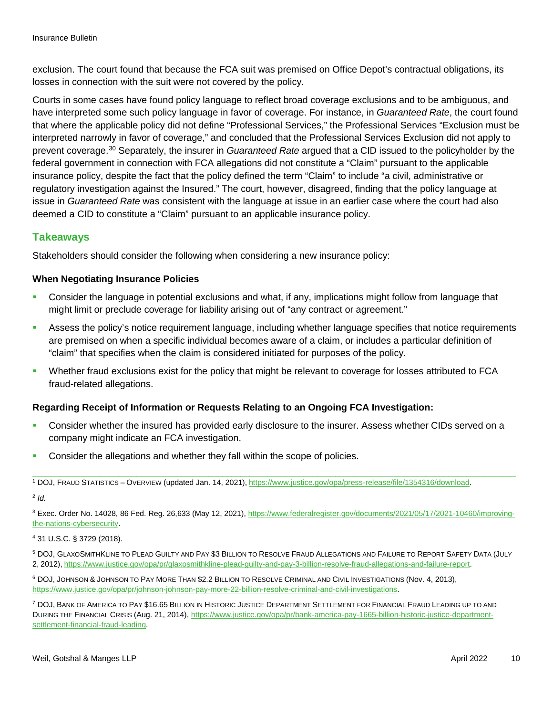exclusion. The court found that because the FCA suit was premised on Office Depot's contractual obligations, its losses in connection with the suit were not covered by the policy.

Courts in some cases have found policy language to reflect broad coverage exclusions and to be ambiguous, and have interpreted some such policy language in favor of coverage. For instance, in *Guaranteed Rate*, the court found that where the applicable policy did not define "Professional Services," the Professional Services "Exclusion must be interpreted narrowly in favor of coverage," and concluded that the Professional Services Exclusion did not apply to prevent coverage.[30](#page-10-22) Separately, the insurer in *Guaranteed Rate* argued that a CID issued to the policyholder by the federal government in connection with FCA allegations did not constitute a "Claim" pursuant to the applicable insurance policy, despite the fact that the policy defined the term "Claim" to include "a civil, administrative or regulatory investigation against the Insured." The court, however, disagreed, finding that the policy language at issue in *Guaranteed Rate* was consistent with the language at issue in an earlier case where the court had also deemed a CID to constitute a "Claim" pursuant to an applicable insurance policy.

#### **Takeaways**

Stakeholders should consider the following when considering a new insurance policy:

#### **When Negotiating Insurance Policies**

- Consider the language in potential exclusions and what, if any, implications might follow from language that might limit or preclude coverage for liability arising out of "any contract or agreement."
- Assess the policy's notice requirement language, including whether language specifies that notice requirements are premised on when a specific individual becomes aware of a claim, or includes a particular definition of "claim" that specifies when the claim is considered initiated for purposes of the policy.
- Whether fraud exclusions exist for the policy that might be relevant to coverage for losses attributed to FCA fraud-related allegations.

#### **Regarding Receipt of Information or Requests Relating to an Ongoing FCA Investigation:**

- Consider whether the insured has provided early disclosure to the insurer. Assess whether CIDs served on a company might indicate an FCA investigation.
- Consider the allegations and whether they fall within the scope of policies.

<span id="page-9-0"></span><sup>1</sup> DOJ, FRAUD STATISTICS – OVERVIEW (updated Jan. 14, 2021), [https://www.justice.gov/opa/press-release/file/1354316/download.](https://www.justice.gov/opa/press-release/file/1354316/download)

<span id="page-9-1"></span><sup>2</sup> *Id.*

<span id="page-9-2"></span><sup>3</sup> Exec. Order No. 14028, 86 Fed. Reg. 26,633 (May 12, 2021), [https://www.federalregister.gov/documents/2021/05/17/2021-10460/improving](https://www.federalregister.gov/documents/2021/05/17/2021-10460/improving-the-nations-cybersecurity)[the-nations-cybersecurity.](https://www.federalregister.gov/documents/2021/05/17/2021-10460/improving-the-nations-cybersecurity)

\_\_\_\_\_\_\_\_\_\_\_\_\_\_\_\_\_\_\_\_\_\_\_\_\_\_\_\_\_\_\_\_\_\_\_\_\_\_\_\_\_\_\_\_\_\_\_\_\_\_\_\_\_\_\_\_\_\_\_\_\_\_\_\_\_\_\_\_\_\_\_\_\_\_\_\_\_\_\_\_\_\_\_\_\_\_\_\_\_\_\_\_\_\_\_\_\_\_\_\_\_\_\_\_\_\_\_

<span id="page-9-3"></span><sup>4</sup> 31 U.S.C. § 3729 (2018).

<span id="page-9-4"></span><sup>5</sup> DOJ, GLAXOSMITHKLINE TO PLEAD GUILTY AND PAY \$3 BILLION TO RESOLVE FRAUD ALLEGATIONS AND FAILURE TO REPORT SAFETY DATA (JULY 2, 2012), [https://www.justice.gov/opa/pr/glaxosmithkline-plead-guilty-and-pay-3-billion-resolve-fraud-allegations-and-failure-report.](https://www.justice.gov/opa/pr/glaxosmithkline-plead-guilty-and-pay-3-billion-resolve-fraud-allegations-and-failure-report) 

<span id="page-9-5"></span><sup>6</sup> DOJ, JOHNSON & JOHNSON TO PAY MORE THAN \$2.2 BILLION TO RESOLVE CRIMINAL AND CIVIL INVESTIGATIONS (Nov. 4, 2013), [https://www.justice.gov/opa/pr/johnson-johnson-pay-more-22-billion-resolve-criminal-and-civil-investigations.](https://www.justice.gov/opa/pr/johnson-johnson-pay-more-22-billion-resolve-criminal-and-civil-investigations)

<span id="page-9-6"></span><sup>7</sup> DOJ, BANK OF AMERICA TO PAY \$16.65 BILLION IN HISTORIC JUSTICE DEPARTMENT SETTLEMENT FOR FINANCIAL FRAUD LEADING UP TO AND DURING THE FINANCIAL CRISIS (Aug. 21, 2014), [https://www.justice.gov/opa/pr/bank-america-pay-1665-billion-historic-justice-department](https://www.justice.gov/opa/pr/bank-america-pay-1665-billion-historic-justice-department-settlement-financial-fraud-leading)[settlement-financial-fraud-leading.](https://www.justice.gov/opa/pr/bank-america-pay-1665-billion-historic-justice-department-settlement-financial-fraud-leading)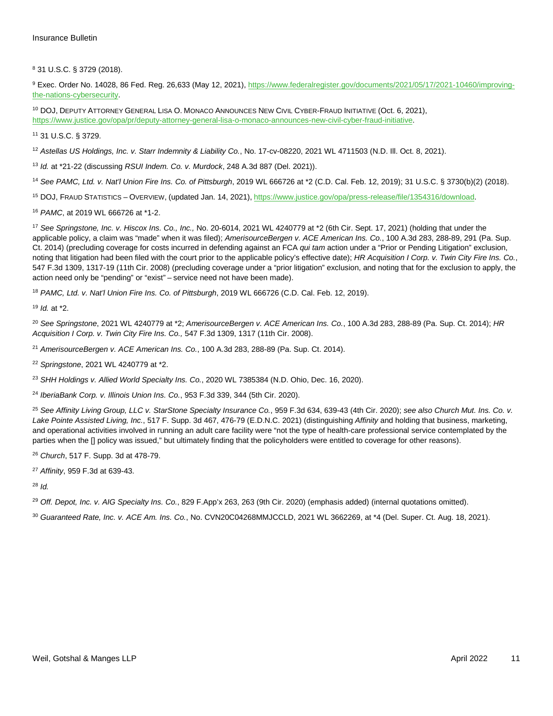<span id="page-10-0"></span>31 U.S.C. § 3729 (2018).

<span id="page-10-1"></span> Exec. Order No. 14028, 86 Fed. Reg. 26,633 (May 12, 2021), [https://www.federalregister.gov/documents/2021/05/17/2021-10460/improving](https://www.federalregister.gov/documents/2021/05/17/2021-10460/improving-the-nations-cybersecurity)[the-nations-cybersecurity.](https://www.federalregister.gov/documents/2021/05/17/2021-10460/improving-the-nations-cybersecurity)

<span id="page-10-2"></span> DOJ, DEPUTY ATTORNEY GENERAL LISA O. MONACO ANNOUNCES NEW CIVIL CYBER-FRAUD INITIATIVE (Oct. 6, 2021), [https://www.justice.gov/opa/pr/deputy-attorney-general-lisa-o-monaco-announces-new-civil-cyber-fraud-initiative.](https://www.justice.gov/opa/pr/deputy-attorney-general-lisa-o-monaco-announces-new-civil-cyber-fraud-initiative)

<span id="page-10-3"></span>31 U.S.C. § 3729.

<span id="page-10-4"></span>*Astellas US Holdings, Inc. v. Starr Indemnity & Liability Co.*, No. 17-cv-08220, 2021 WL 4711503 (N.D. Ill. Oct. 8, 2021).

<span id="page-10-5"></span>*Id.* at \*21-22 (discussing *RSUI Indem. Co. v. Murdock*, 248 A.3d 887 (Del. 2021)).

<span id="page-10-6"></span>*See PAMC, Ltd. v. Nat'l Union Fire Ins. Co. of Pittsburgh*, 2019 WL 666726 at \*2 (C.D. Cal. Feb. 12, 2019); 31 U.S.C. § 3730(b)(2) (2018).

<span id="page-10-7"></span>DOJ, FRAUD STATISTICS – OVERVIEW, (updated Jan. 14, 2021), [https://www.justice.gov/opa/press-release/file/1354316/download.](https://www.justice.gov/opa/press-release/file/1354316/download) 

<span id="page-10-8"></span>*PAMC*, at 2019 WL 666726 at \*1-2.

<span id="page-10-9"></span> *See Springstone, Inc. v. Hiscox Ins. Co., Inc.,* No. 20-6014, 2021 WL 4240779 at \*2 (6th Cir. Sept. 17, 2021) (holding that under the applicable policy, a claim was "made" when it was filed); *AmerisourceBergen v. ACE American Ins. Co.*, 100 A.3d 283, 288-89, 291 (Pa. Sup. Ct. 2014) (precluding coverage for costs incurred in defending against an FCA *qui tam* action under a "Prior or Pending Litigation" exclusion, noting that litigation had been filed with the court prior to the applicable policy's effective date); *HR Acquisition I Corp. v. Twin City Fire Ins. Co.*, 547 F.3d 1309, 1317-19 (11th Cir. 2008) (precluding coverage under a "prior litigation" exclusion, and noting that for the exclusion to apply, the action need only be "pending" or "exist" – service need not have been made).

<span id="page-10-10"></span>*PAMC, Ltd. v. Nat'l Union Fire Ins. Co. of Pittsburgh*, 2019 WL 666726 (C.D. Cal. Feb. 12, 2019).

<span id="page-10-11"></span>*Id.* at \*2.

<span id="page-10-12"></span> *See Springstone*, 2021 WL 4240779 at \*2; *AmerisourceBergen v. ACE American Ins. Co.*, 100 A.3d 283, 288-89 (Pa. Sup. Ct. 2014); *HR Acquisition I Corp. v. Twin City Fire Ins. Co.,* 547 F.3d 1309, 1317 (11th Cir. 2008).

<span id="page-10-13"></span>*AmerisourceBergen v. ACE American Ins. Co.*, 100 A.3d 283, 288-89 (Pa. Sup. Ct. 2014).

<span id="page-10-14"></span>*Springstone*, 2021 WL 4240779 at \*2.

<span id="page-10-15"></span>*SHH Holdings v. Allied World Specialty Ins. Co.*, 2020 WL 7385384 (N.D. Ohio, Dec. 16, 2020).

<span id="page-10-16"></span>*IberiaBank Corp. v. Illinois Union Ins. Co.*, 953 F.3d 339, 344 (5th Cir. 2020).

<span id="page-10-17"></span> *See Affinity Living Group, LLC v. StarStone Specialty Insurance Co.*, 959 F.3d 634, 639-43 (4th Cir. 2020); *see also Church Mut. Ins. Co. v. Lake Pointe Assisted Living, Inc.*, 517 F. Supp. 3d 467, 476-79 (E.D.N.C. 2021) (distinguishing *Affinity* and holding that business, marketing, and operational activities involved in running an adult care facility were "not the type of health-care professional service contemplated by the parties when the [] policy was issued," but ultimately finding that the policyholders were entitled to coverage for other reasons).

<span id="page-10-18"></span>*Church*, 517 F. Supp. 3d at 478-79.

<span id="page-10-19"></span>*Affinity*, 959 F.3d at 639-43.

<span id="page-10-20"></span>*Id.*

<span id="page-10-21"></span>*Off. Depot, Inc. v. AIG Specialty Ins. Co.*, 829 F.App'x 263, 263 (9th Cir. 2020) (emphasis added) (internal quotations omitted).

<span id="page-10-22"></span>*Guaranteed Rate, Inc. v. ACE Am. Ins. Co.*, No. CVN20C04268MMJCCLD, 2021 WL 3662269, at \*4 (Del. Super. Ct. Aug. 18, 2021).